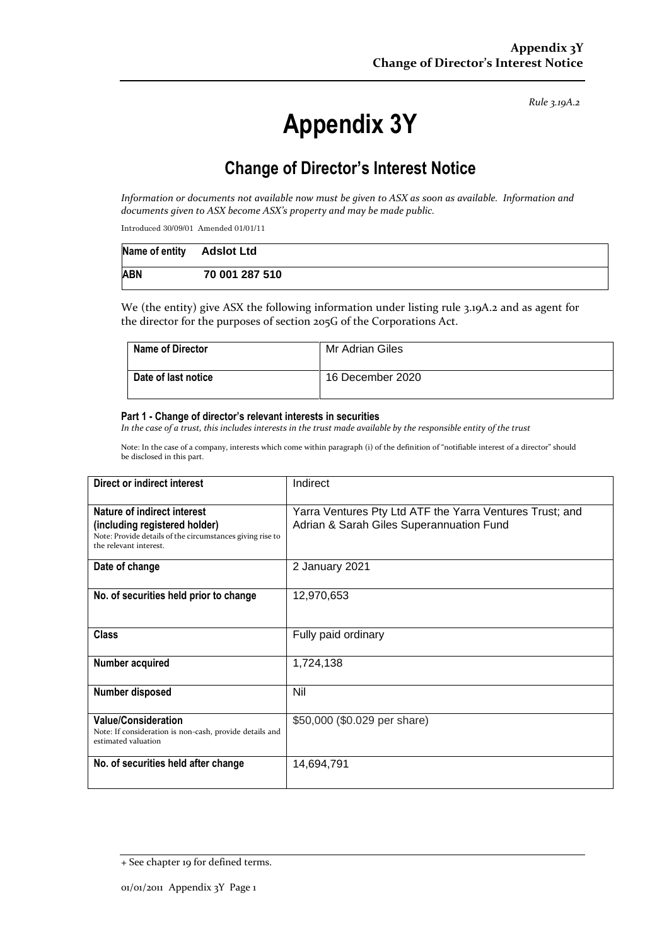*Rule 3.19A.2*

# **Appendix 3Y**

# **Change of Director's Interest Notice**

*Information or documents not available now must be given to ASX as soon as available. Information and documents given to ASX become ASX's property and may be made public.*

Introduced 30/09/01 Amended 01/01/11

| Name of entity Adslot Ltd |                |
|---------------------------|----------------|
| <b>ABN</b>                | 70 001 287 510 |

We (the entity) give ASX the following information under listing rule 3.19A.2 and as agent for the director for the purposes of section 205G of the Corporations Act.

| <b>Name of Director</b> | Mr Adrian Giles  |
|-------------------------|------------------|
| Date of last notice     | 16 December 2020 |

#### **Part 1 - Change of director's relevant interests in securities**

*In the case of a trust, this includes interests in the trust made available by the responsible entity of the trust*

Note: In the case of a company, interests which come within paragraph (i) of the definition of "notifiable interest of a director" should be disclosed in this part.

| Direct or indirect interest                                                                                                                         | Indirect                                                                                             |  |
|-----------------------------------------------------------------------------------------------------------------------------------------------------|------------------------------------------------------------------------------------------------------|--|
| Nature of indirect interest<br>(including registered holder)<br>Note: Provide details of the circumstances giving rise to<br>the relevant interest. | Yarra Ventures Pty Ltd ATF the Yarra Ventures Trust; and<br>Adrian & Sarah Giles Superannuation Fund |  |
| Date of change                                                                                                                                      | 2 January 2021                                                                                       |  |
| No. of securities held prior to change                                                                                                              | 12,970,653                                                                                           |  |
| <b>Class</b>                                                                                                                                        | Fully paid ordinary                                                                                  |  |
| Number acquired                                                                                                                                     | 1,724,138                                                                                            |  |
| Number disposed                                                                                                                                     | Nil                                                                                                  |  |
| <b>Value/Consideration</b><br>Note: If consideration is non-cash, provide details and<br>estimated valuation                                        | \$50,000 (\$0.029 per share)                                                                         |  |
| No. of securities held after change                                                                                                                 | 14,694,791                                                                                           |  |

<sup>+</sup> See chapter 19 for defined terms.